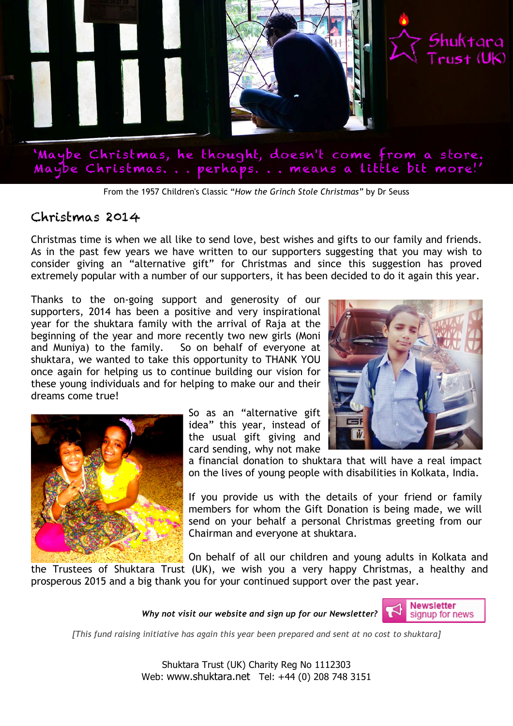

From the 1957 Children's Classic "*How the Grinch Stole Christmas"* by Dr Seuss

## Christmas 2014

Christmas time is when we all like to send love, best wishes and gifts to our family and friends. As in the past few years we have written to our supporters suggesting that you may wish to consider giving an "alternative gift" for Christmas and since this suggestion has proved extremely popular with a number of our supporters, it has been decided to do it again this year.

Thanks to the on-going support and generosity of our supporters, 2014 has been a positive and very inspirational year for the shuktara family with the arrival of Raja at the beginning of the year and more recently two new girls (Moni and Muniya) to the family. So on behalf of everyone at shuktara, we wanted to take this opportunity to THANK YOU once again for helping us to continue building our vision for these young individuals and for helping to make our and their dreams come true!





So as an "alternative gift idea" this year, instead of the usual gift giving and card sending, why not make

a financial donation to shuktara that will have a real impact on the lives of young people with disabilities in Kolkata, India.

If you provide us with the details of your friend or family members for whom the Gift Donation is being made, we will send on your behalf a personal Christmas greeting from our Chairman and everyone at shuktara.

On behalf of all our children and young adults in Kolkata and

the Trustees of Shuktara Trust (UK), we wish you a very happy Christmas, a healthy and prosperous 2015 and a big thank you for your continued support over the past year.





*[This fund raising initiative has again this year been prepared and sent at no cost to shuktara]*

Shuktara Trust (UK) Charity Reg No 1112303 Web: www.shuktara.net Tel: +44 (0) 208 748 3151